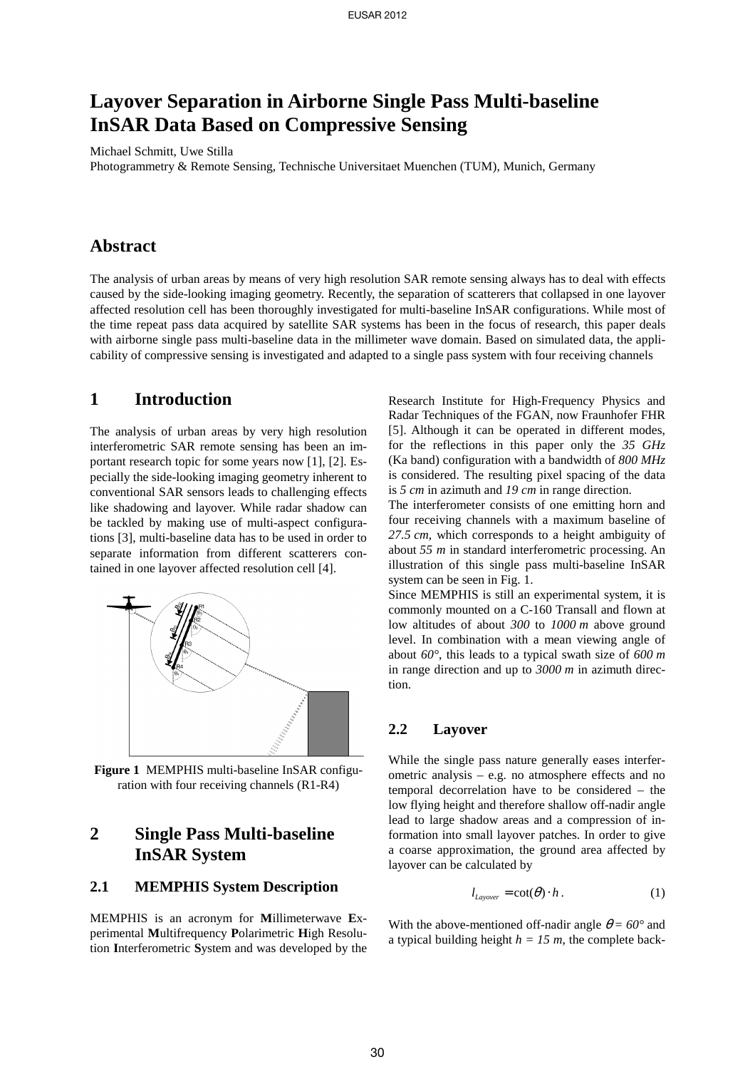# **Layover Separation in Airborne Single Pass Multi-baseline InSAR Data Based on Compressive Sensing**

Michael Schmitt, Uwe Stilla

Photogrammetry & Remote Sensing, Technische Universitaet Muenchen (TUM), Munich, Germany

## **Abstract**

The analysis of urban areas by means of very high resolution SAR remote sensing always has to deal with effects caused by the side-looking imaging geometry. Recently, the separation of scatterers that collapsed in one layover affected resolution cell has been thoroughly investigated for multi-baseline InSAR configurations. While most of the time repeat pass data acquired by satellite SAR systems has been in the focus of research, this paper deals with airborne single pass multi-baseline data in the millimeter wave domain. Based on simulated data, the applicability of compressive sensing is investigated and adapted to a single pass system with four receiving channels

## **1 Introduction**

The analysis of urban areas by very high resolution interferometric SAR remote sensing has been an important research topic for some years now [1], [2]. Especially the side-looking imaging geometry inherent to conventional SAR sensors leads to challenging effects like shadowing and layover. While radar shadow can be tackled by making use of multi-aspect configurations [3], multi-baseline data has to be used in order to separate information from different scatterers contained in one layover affected resolution cell [4].



**Figure 1** MEMPHIS multi-baseline InSAR configuration with four receiving channels (R1-R4)

## **2 Single Pass Multi-baseline InSAR System**

#### **2.1 MEMPHIS System Description**

MEMPHIS is an acronym for **M**illimeterwave **E**xperimental **M**ultifrequency **P**olarimetric **H**igh Resolution **I**nterferometric **S**ystem and was developed by the Research Institute for High-Frequency Physics and Radar Techniques of the FGAN, now Fraunhofer FHR [5]. Although it can be operated in different modes, for the reflections in this paper only the *35 GHz* (Ka band) configuration with a bandwidth of *800 MHz* is considered. The resulting pixel spacing of the data is *5 cm* in azimuth and *19 cm* in range direction.

The interferometer consists of one emitting horn and four receiving channels with a maximum baseline of *27.5 cm*, which corresponds to a height ambiguity of about *55 m* in standard interferometric processing. An illustration of this single pass multi-baseline InSAR system can be seen in Fig. 1.

Since MEMPHIS is still an experimental system, it is commonly mounted on a C-160 Transall and flown at low altitudes of about *300* to *1000 m* above ground level. In combination with a mean viewing angle of about *60°*, this leads to a typical swath size of *600 m* in range direction and up to *3000 m* in azimuth direction.

#### **2.2 Layover**

While the single pass nature generally eases interferometric analysis – e.g. no atmosphere effects and no temporal decorrelation have to be considered – the low flying height and therefore shallow off-nadir angle lead to large shadow areas and a compression of information into small layover patches. In order to give a coarse approximation, the ground area affected by layover can be calculated by

$$
l_{\text{Layover}} = \cot(\theta) \cdot h \,. \tag{1}
$$

With the above-mentioned off-nadir angle  $\theta = 60^{\circ}$  and a typical building height  $h = 15$  m, the complete back-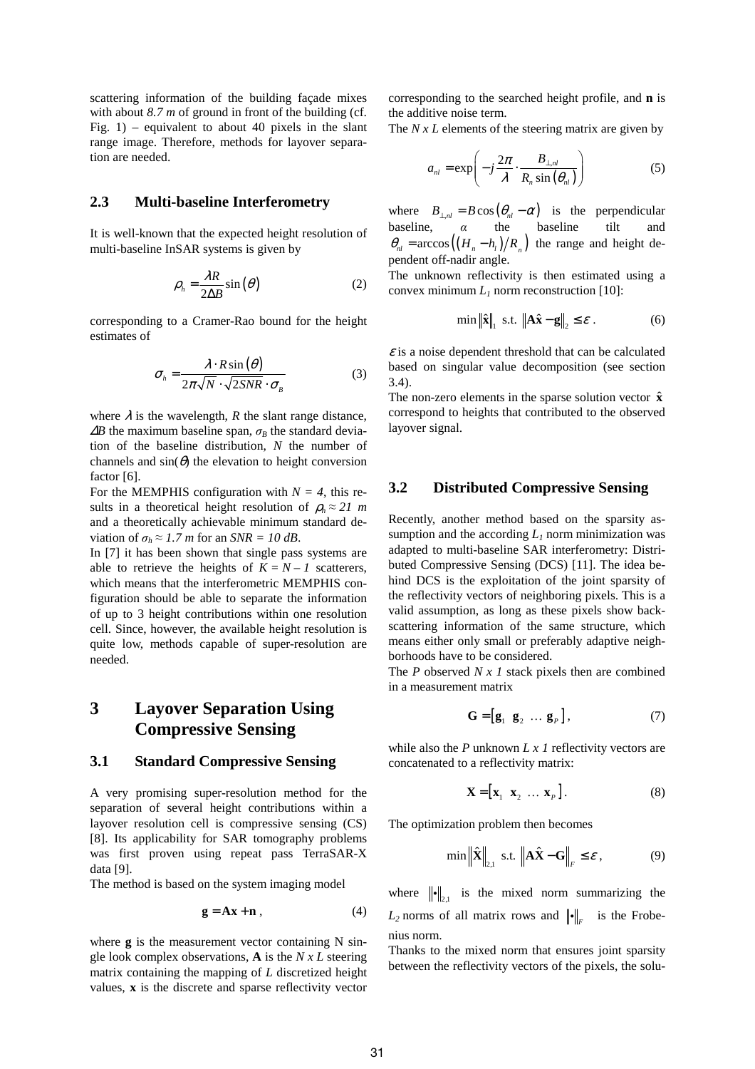scattering information of the building façade mixes with about 8.7 *m* of ground in front of the building (cf. Fig.  $1$ ) – equivalent to about 40 pixels in the slant range image. Therefore, methods for layover separation are needed.

#### **2.3 Multi-baseline Interferometry**

It is well-known that the expected height resolution of multi-baseline InSAR systems is given by

$$
\rho_h = \frac{\lambda R}{2\Delta B} \sin(\theta) \tag{2}
$$

corresponding to a Cramer-Rao bound for the height estimates of

$$
\sigma_h = \frac{\lambda \cdot R \sin(\theta)}{2\pi \sqrt{N} \cdot \sqrt{2SNR} \cdot \sigma_B}
$$
(3)

where  $\lambda$  is the wavelength, *R* the slant range distance,  $\Delta B$  the maximum baseline span,  $\sigma_B$  the standard deviation of the baseline distribution, *N* the number of channels and  $sin(\theta)$  the elevation to height conversion factor [6].

For the MEMPHIS configuration with  $N = 4$ , this results in a theoretical height resolution of  $\rho_h \approx 21$  *m* and a theoretically achievable minimum standard deviation of  $\sigma_h \approx 1.7$  *m* for an *SNR* = 10 dB.

In [7] it has been shown that single pass systems are able to retrieve the heights of  $K = N - 1$  scatterers, which means that the interferometric MEMPHIS configuration should be able to separate the information of up to 3 height contributions within one resolution cell. Since, however, the available height resolution is quite low, methods capable of super-resolution are needed.

## **3 Layover Separation Using Compressive Sensing**

#### **3.1 Standard Compressive Sensing**

A very promising super-resolution method for the separation of several height contributions within a layover resolution cell is compressive sensing (CS) [8]. Its applicability for SAR tomography problems was first proven using repeat pass TerraSAR-X data [9].

The method is based on the system imaging model

$$
\mathbf{g} = \mathbf{A}\mathbf{x} + \mathbf{n} \tag{4}
$$

where **g** is the measurement vector containing N single look complex observations, **A** is the *N x L* steering matrix containing the mapping of *L* discretized height values, **x** is the discrete and sparse reflectivity vector corresponding to the searched height profile, and **n** is the additive noise term.

The *N x L* elements of the steering matrix are given by

$$
a_{nl} = \exp\left(-j\frac{2\pi}{\lambda} \cdot \frac{B_{\perp,nl}}{R_n \sin(\theta_{nl})}\right) \tag{5}
$$

where  $B_{\perp,nl} = B \cos \left( \theta_{nl} - \alpha \right)$  is the perpendicular baseline,  $\alpha$  the baseline tilt  $\theta_{nl} = \arccos\left(\left(H_n - h_l\right)/R_n\right)$  the range and height dependent off-nadir angle.

The unknown reflectivity is then estimated using a convex minimum  $L_1$  norm reconstruction [10]:

$$
\min \|\hat{\mathbf{x}}\|_{1} \text{ s.t. } \|\mathbf{A}\hat{\mathbf{x}} - \mathbf{g}\|_{2} \leq \varepsilon. \tag{6}
$$

 $\epsilon$  is a noise dependent threshold that can be calculated based on singular value decomposition (see section 3.4).

The non-zero elements in the sparse solution vector  $\hat{\mathbf{x}}$ correspond to heights that contributed to the observed layover signal.

#### **3.2 Distributed Compressive Sensing**

Recently, another method based on the sparsity assumption and the according  $L_1$  norm minimization was adapted to multi-baseline SAR interferometry: Distributed Compressive Sensing (DCS) [11]. The idea behind DCS is the exploitation of the joint sparsity of the reflectivity vectors of neighboring pixels. This is a valid assumption, as long as these pixels show backscattering information of the same structure, which means either only small or preferably adaptive neighborhoods have to be considered.

The *P* observed *N x 1* stack pixels then are combined in a measurement matrix

$$
\mathbf{G} = \begin{bmatrix} \mathbf{g}_1 & \mathbf{g}_2 & \dots & \mathbf{g}_P \end{bmatrix},\tag{7}
$$

while also the *P* unknown *L x 1* reflectivity vectors are concatenated to a reflectivity matrix:

$$
\mathbf{X} = \begin{bmatrix} \mathbf{x}_1 & \mathbf{x}_2 & \dots & \mathbf{x}_p \end{bmatrix} . \tag{8}
$$

The optimization problem then becomes

$$
\min \left\| \hat{\mathbf{X}} \right\|_{2,1} \text{ s.t. } \left\| \mathbf{A} \hat{\mathbf{X}} - \mathbf{G} \right\|_{F} \le \varepsilon , \tag{9}
$$

where  $\|\cdot\|_{2,1}$  is the mixed norm summarizing the  $L_2$  norms of all matrix rows and  $\|\cdot\|_F$  is the Frobenius norm.

Thanks to the mixed norm that ensures joint sparsity between the reflectivity vectors of the pixels, the solu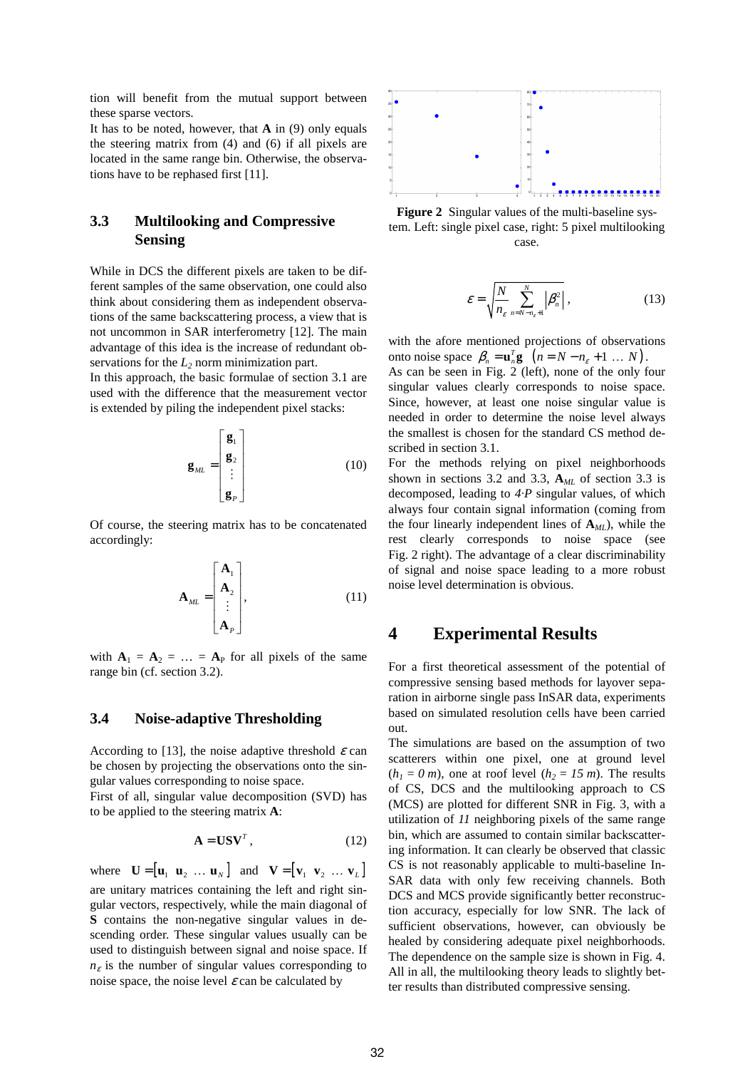tion will benefit from the mutual support between these sparse vectors.

It has to be noted, however, that **A** in (9) only equals the steering matrix from (4) and (6) if all pixels are located in the same range bin. Otherwise, the observations have to be rephased first [11].

### **3.3 Multilooking and Compressive Sensing**

While in DCS the different pixels are taken to be different samples of the same observation, one could also think about considering them as independent observations of the same backscattering process, a view that is not uncommon in SAR interferometry [12]. The main advantage of this idea is the increase of redundant observations for the  $L_2$  norm minimization part.

In this approach, the basic formulae of section 3.1 are used with the difference that the measurement vector is extended by piling the independent pixel stacks:

$$
\mathbf{g}_{ML} = \begin{bmatrix} \mathbf{g}_1 \\ \mathbf{g}_2 \\ \vdots \\ \mathbf{g}_P \end{bmatrix}
$$
 (10)

Of course, the steering matrix has to be concatenated accordingly:

$$
\mathbf{A}_{ML} = \begin{bmatrix} \mathbf{A}_1 \\ \mathbf{A}_2 \\ \vdots \\ \mathbf{A}_P \end{bmatrix}, \tag{11}
$$

with  $A_1 = A_2 = ... = A_p$  for all pixels of the same range bin (cf. section 3.2).

#### **3.4 Noise-adaptive Thresholding**

According to [13], the noise adaptive threshold  $\varepsilon$  can be chosen by projecting the observations onto the singular values corresponding to noise space.

First of all, singular value decomposition (SVD) has to be applied to the steering matrix **A**:

$$
\mathbf{A} = \mathbf{U}\mathbf{S}\mathbf{V}^T, \tag{12}
$$

where  $\mathbf{U} = [\mathbf{u}_1 \ \mathbf{u}_2 \ \dots \ \mathbf{u}_N]$  and  $\mathbf{V} = [\mathbf{v}_1 \ \mathbf{v}_2 \ \dots \ \mathbf{v}_L]$ are unitary matrices containing the left and right singular vectors, respectively, while the main diagonal of **S** contains the non-negative singular values in descending order. These singular values usually can be used to distinguish between signal and noise space. If  $n_{\varepsilon}$  is the number of singular values corresponding to noise space, the noise level  $\varepsilon$  can be calculated by



**Figure 2** Singular values of the multi-baseline system. Left: single pixel case, right: 5 pixel multilooking case.

$$
\varepsilon = \sqrt{\frac{N}{n_{\varepsilon}} \sum_{n=N-n_{\varepsilon}+1}^{N} |\beta_n^2|},
$$
\n(13)

with the afore mentioned projections of observations onto noise space  $\beta_n = \mathbf{u}_n^T \mathbf{g} \left( n = N - n_{\varepsilon} + 1 \dots N \right)$ .

As can be seen in Fig. 2 (left), none of the only four singular values clearly corresponds to noise space. Since, however, at least one noise singular value is needed in order to determine the noise level always the smallest is chosen for the standard CS method described in section 3.1.

For the methods relying on pixel neighborhoods shown in sections 3.2 and 3.3, **A***ML* of section 3.3 is decomposed, leading to *4·P* singular values, of which always four contain signal information (coming from the four linearly independent lines of  $A_{ML}$ ), while the rest clearly corresponds to noise space (see Fig. 2 right). The advantage of a clear discriminability of signal and noise space leading to a more robust noise level determination is obvious.

### **4 Experimental Results**

For a first theoretical assessment of the potential of compressive sensing based methods for layover separation in airborne single pass InSAR data, experiments based on simulated resolution cells have been carried out.

The simulations are based on the assumption of two scatterers within one pixel, one at ground level  $(h<sub>1</sub> = 0 m)$ , one at roof level  $(h<sub>2</sub> = 15 m)$ . The results of CS, DCS and the multilooking approach to CS (MCS) are plotted for different SNR in Fig. 3, with a utilization of *11* neighboring pixels of the same range bin, which are assumed to contain similar backscattering information. It can clearly be observed that classic CS is not reasonably applicable to multi-baseline In-SAR data with only few receiving channels. Both DCS and MCS provide significantly better reconstruction accuracy, especially for low SNR. The lack of sufficient observations, however, can obviously be healed by considering adequate pixel neighborhoods. The dependence on the sample size is shown in Fig. 4. All in all, the multilooking theory leads to slightly better results than distributed compressive sensing.